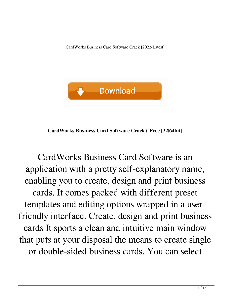CardWorks Business Card Software Crack [2022-Latest]



**CardWorks Business Card Software Crack+ Free [32|64bit]**

CardWorks Business Card Software is an application with a pretty self-explanatory name, enabling you to create, design and print business cards. It comes packed with different preset templates and editing options wrapped in a userfriendly interface. Create, design and print business cards It sports a clean and intuitive main window that puts at your disposal the means to create single or double-sided business cards. You can select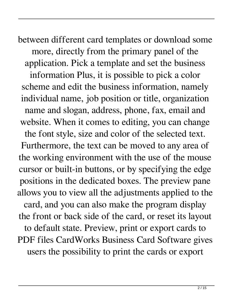between different card templates or download some more, directly from the primary panel of the application. Pick a template and set the business information Plus, it is possible to pick a color scheme and edit the business information, namely individual name, job position or title, organization name and slogan, address, phone, fax, email and website. When it comes to editing, you can change the font style, size and color of the selected text. Furthermore, the text can be moved to any area of the working environment with the use of the mouse cursor or built-in buttons, or by specifying the edge positions in the dedicated boxes. The preview pane allows you to view all the adjustments applied to the card, and you can also make the program display the front or back side of the card, or reset its layout to default state. Preview, print or export cards to PDF files CardWorks Business Card Software gives users the possibility to print the cards or export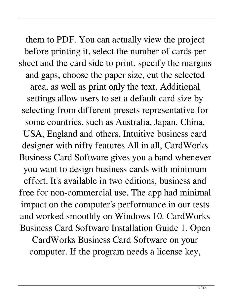them to PDF. You can actually view the project before printing it, select the number of cards per sheet and the card side to print, specify the margins and gaps, choose the paper size, cut the selected area, as well as print only the text. Additional settings allow users to set a default card size by selecting from different presets representative for some countries, such as Australia, Japan, China, USA, England and others. Intuitive business card designer with nifty features All in all, CardWorks Business Card Software gives you a hand whenever you want to design business cards with minimum effort. It's available in two editions, business and free for non-commercial use. The app had minimal impact on the computer's performance in our tests and worked smoothly on Windows 10. CardWorks Business Card Software Installation Guide 1. Open CardWorks Business Card Software on your

computer. If the program needs a license key,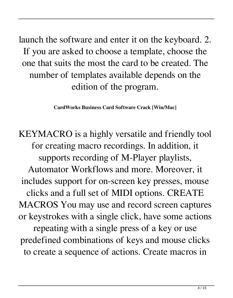launch the software and enter it on the keyboard. 2. If you are asked to choose a template, choose the one that suits the most the card to be created. The number of templates available depends on the edition of the program.

**CardWorks Business Card Software Crack [Win/Mac]**

KEYMACRO is a highly versatile and friendly tool for creating macro recordings. In addition, it supports recording of M-Player playlists, Automator Workflows and more. Moreover, it includes support for on-screen key presses, mouse clicks and a full set of MIDI options. CREATE MACROS You may use and record screen captures or keystrokes with a single click, have some actions repeating with a single press of a key or use predefined combinations of keys and mouse clicks to create a sequence of actions. Create macros in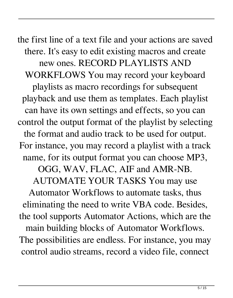the first line of a text file and your actions are saved there. It's easy to edit existing macros and create new ones. RECORD PLAYLISTS AND WORKFLOWS You may record your keyboard playlists as macro recordings for subsequent playback and use them as templates. Each playlist can have its own settings and effects, so you can control the output format of the playlist by selecting the format and audio track to be used for output. For instance, you may record a playlist with a track name, for its output format you can choose MP3, OGG, WAV, FLAC, AIF and AMR-NB. AUTOMATE YOUR TASKS You may use Automator Workflows to automate tasks, thus

eliminating the need to write VBA code. Besides, the tool supports Automator Actions, which are the main building blocks of Automator Workflows. The possibilities are endless. For instance, you may control audio streams, record a video file, connect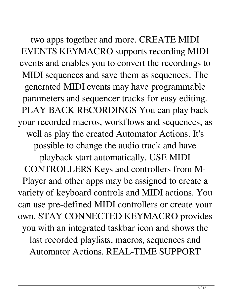two apps together and more. CREATE MIDI EVENTS KEYMACRO supports recording MIDI events and enables you to convert the recordings to MIDI sequences and save them as sequences. The generated MIDI events may have programmable parameters and sequencer tracks for easy editing. PLAY BACK RECORDINGS You can play back your recorded macros, workflows and sequences, as well as play the created Automator Actions. It's possible to change the audio track and have playback start automatically. USE MIDI CONTROLLERS Keys and controllers from M-Player and other apps may be assigned to create a variety of keyboard controls and MIDI actions. You can use pre-defined MIDI controllers or create your own. STAY CONNECTED KEYMACRO provides you with an integrated taskbar icon and shows the last recorded playlists, macros, sequences and Automator Actions. REAL-TIME SUPPORT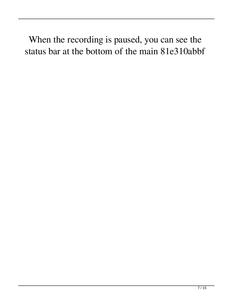When the recording is paused, you can see the status bar at the bottom of the main 81e310abbf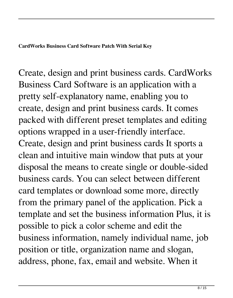**CardWorks Business Card Software Patch With Serial Key**

Create, design and print business cards. CardWorks Business Card Software is an application with a pretty self-explanatory name, enabling you to create, design and print business cards. It comes packed with different preset templates and editing options wrapped in a user-friendly interface. Create, design and print business cards It sports a clean and intuitive main window that puts at your disposal the means to create single or double-sided business cards. You can select between different card templates or download some more, directly from the primary panel of the application. Pick a template and set the business information Plus, it is possible to pick a color scheme and edit the business information, namely individual name, job position or title, organization name and slogan, address, phone, fax, email and website. When it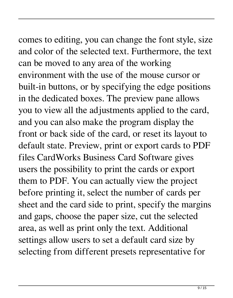comes to editing, you can change the font style, size

and color of the selected text. Furthermore, the text can be moved to any area of the working environment with the use of the mouse cursor or built-in buttons, or by specifying the edge positions in the dedicated boxes. The preview pane allows you to view all the adjustments applied to the card, and you can also make the program display the front or back side of the card, or reset its layout to default state. Preview, print or export cards to PDF files CardWorks Business Card Software gives users the possibility to print the cards or export them to PDF. You can actually view the project before printing it, select the number of cards per sheet and the card side to print, specify the margins and gaps, choose the paper size, cut the selected area, as well as print only the text. Additional settings allow users to set a default card size by selecting from different presets representative for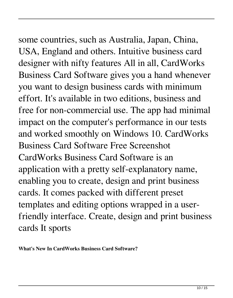## some countries, such as Australia, Japan, China,

USA, England and others. Intuitive business card designer with nifty features All in all, CardWorks Business Card Software gives you a hand whenever you want to design business cards with minimum effort. It's available in two editions, business and free for non-commercial use. The app had minimal impact on the computer's performance in our tests and worked smoothly on Windows 10. CardWorks Business Card Software Free Screenshot CardWorks Business Card Software is an application with a pretty self-explanatory name, enabling you to create, design and print business cards. It comes packed with different preset templates and editing options wrapped in a userfriendly interface. Create, design and print business cards It sports

**What's New In CardWorks Business Card Software?**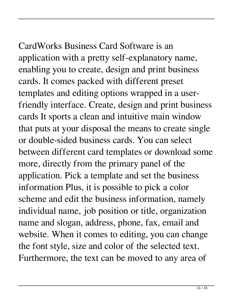CardWorks Business Card Software is an application with a pretty self-explanatory name, enabling you to create, design and print business cards. It comes packed with different preset templates and editing options wrapped in a userfriendly interface. Create, design and print business cards It sports a clean and intuitive main window that puts at your disposal the means to create single or double-sided business cards. You can select between different card templates or download some more, directly from the primary panel of the application. Pick a template and set the business information Plus, it is possible to pick a color scheme and edit the business information, namely individual name, job position or title, organization name and slogan, address, phone, fax, email and website. When it comes to editing, you can change the font style, size and color of the selected text. Furthermore, the text can be moved to any area of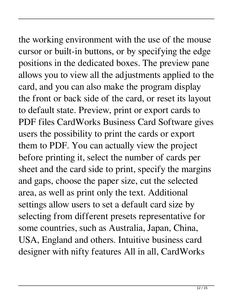## the working environment with the use of the mouse

cursor or built-in buttons, or by specifying the edge positions in the dedicated boxes. The preview pane allows you to view all the adjustments applied to the card, and you can also make the program display the front or back side of the card, or reset its layout to default state. Preview, print or export cards to PDF files CardWorks Business Card Software gives users the possibility to print the cards or export them to PDF. You can actually view the project before printing it, select the number of cards per sheet and the card side to print, specify the margins and gaps, choose the paper size, cut the selected area, as well as print only the text. Additional settings allow users to set a default card size by selecting from different presets representative for some countries, such as Australia, Japan, China, USA, England and others. Intuitive business card designer with nifty features All in all, CardWorks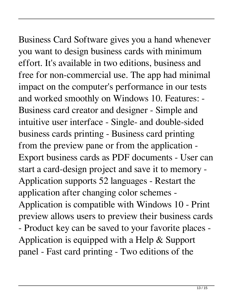## Business Card Software gives you a hand whenever

you want to design business cards with minimum effort. It's available in two editions, business and free for non-commercial use. The app had minimal impact on the computer's performance in our tests and worked smoothly on Windows 10. Features: - Business card creator and designer - Simple and intuitive user interface - Single- and double-sided business cards printing - Business card printing from the preview pane or from the application - Export business cards as PDF documents - User can start a card-design project and save it to memory - Application supports 52 languages - Restart the application after changing color schemes - Application is compatible with Windows 10 - Print preview allows users to preview their business cards - Product key can be saved to your favorite places - Application is equipped with a Help & Support panel - Fast card printing - Two editions of the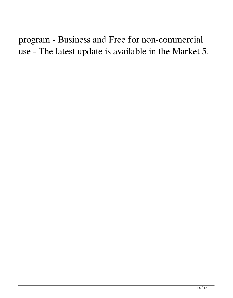program - Business and Free for non-commercial use - The latest update is available in the Market 5.